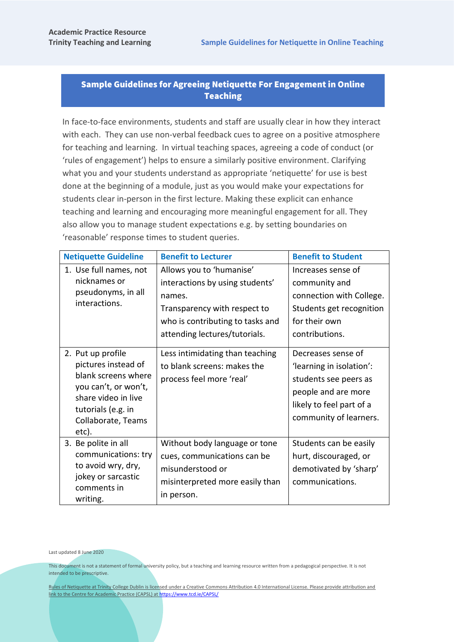## Sample Guidelines for Agreeing Netiquette For Engagement in Online Teaching

In face-to-face environments, students and staff are usually clear in how they interact with each. They can use non-verbal feedback cues to agree on a positive atmosphere for teaching and learning. In virtual teaching spaces, agreeing a code of conduct (or 'rules of engagement') helps to ensure a similarly positive environment. Clarifying what you and your students understand as appropriate 'netiquette' for use is best done at the beginning of a module, just as you would make your expectations for students clear in-person in the first lecture. Making these explicit can enhance teaching and learning and encouraging more meaningful engagement for all. They also allow you to manage student expectations e.g. by setting boundaries on 'reasonable' response times to student queries.

| <b>Netiquette Guideline</b>                                                                                                                                         | <b>Benefit to Lecturer</b>                                                                                                                                                 | <b>Benefit to Student</b>                                                                                                                            |
|---------------------------------------------------------------------------------------------------------------------------------------------------------------------|----------------------------------------------------------------------------------------------------------------------------------------------------------------------------|------------------------------------------------------------------------------------------------------------------------------------------------------|
| 1. Use full names, not<br>nicknames or<br>pseudonyms, in all<br>interactions.                                                                                       | Allows you to 'humanise'<br>interactions by using students'<br>names.<br>Transparency with respect to<br>who is contributing to tasks and<br>attending lectures/tutorials. | Increases sense of<br>community and<br>connection with College.<br>Students get recognition<br>for their own<br>contributions.                       |
| 2. Put up profile<br>pictures instead of<br>blank screens where<br>you can't, or won't,<br>share video in live<br>tutorials (e.g. in<br>Collaborate, Teams<br>etc). | Less intimidating than teaching<br>to blank screens: makes the<br>process feel more 'real'                                                                                 | Decreases sense of<br>'learning in isolation':<br>students see peers as<br>people and are more<br>likely to feel part of a<br>community of learners. |
| 3. Be polite in all<br>communications: try<br>to avoid wry, dry,<br>jokey or sarcastic<br>comments in<br>writing.                                                   | Without body language or tone<br>cues, communications can be<br>misunderstood or<br>misinterpreted more easily than<br>in person.                                          | Students can be easily<br>hurt, discouraged, or<br>demotivated by 'sharp'<br>communications.                                                         |

Last updated 8 June 2020

This document is not a statement of formal university policy, but a teaching and learning resource written from a pedagogical perspective. It is not intended to be prescriptive.

Rules of Netiquette at Trinity College Dublin is licensed under a Creative Commons Attribution 4.0 International License. Please provide attribution and link to the Centre for Academic Practice (CAPSL) a[t https://www.tcd.ie/CAPSL/](https://www.tcd.ie/CAPSL/)